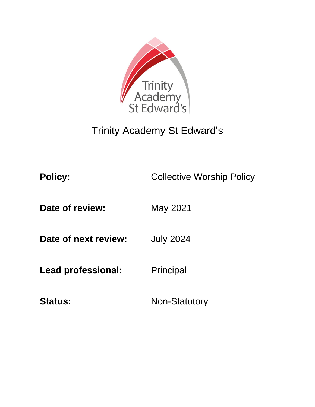

# Trinity Academy St Edward's

**Policy:** Collective Worship Policy

**Date of review:** May 2021

**Date of next review:** July 2024

Lead professional: Principal

Status: Non-Statutory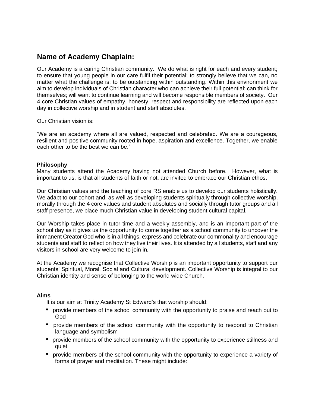## **Name of Academy Chaplain:**

Our Academy is a caring Christian community. We do what is right for each and every student; to ensure that young people in our care fulfil their potential; to strongly believe that we can, no matter what the challenge is; to be outstanding within outstanding. Within this environment we aim to develop individuals of Christian character who can achieve their full potential; can think for themselves; will want to continue learning and will become responsible members of society. Our 4 core Christian values of empathy, honesty, respect and responsibility are reflected upon each day in collective worship and in student and staff absolutes.

Our Christian vision is:

'We are an academy where all are valued, respected and celebrated. We are a courageous, resilient and positive community rooted in hope, aspiration and excellence. Together, we enable each other to be the best we can be.'

#### **Philosophy**

Many students attend the Academy having not attended Church before. However, what is important to us, is that all students of faith or not, are invited to embrace our Christian ethos.

Our Christian values and the teaching of core RS enable us to develop our students holistically. We adapt to our cohort and, as well as developing students spiritually through collective worship, morally through the 4 core values and student absolutes and socially through tutor groups and all staff presence, we place much Christian value in developing student cultural capital.

Our Worship takes place in tutor time and a weekly assembly, and is an important part of the school day as it gives us the opportunity to come together as a school community to uncover the immanent Creator God who is in all things, express and celebrate our commonality and encourage students and staff to reflect on how they live their lives. It is attended by all students, staff and any visitors in school are very welcome to join in.

At the Academy we recognise that Collective Worship is an important opportunity to support our students' Spiritual, Moral, Social and Cultural development. Collective Worship is integral to our Christian identity and sense of belonging to the world wide Church.

#### **Aims**

It is our aim at Trinity Academy St Edward's that worship should:

- provide members of the school community with the opportunity to praise and reach out to God
- provide members of the school community with the opportunity to respond to Christian language and symbolism
- provide members of the school community with the opportunity to experience stillness and quiet
- provide members of the school community with the opportunity to experience a variety of forms of prayer and meditation. These might include: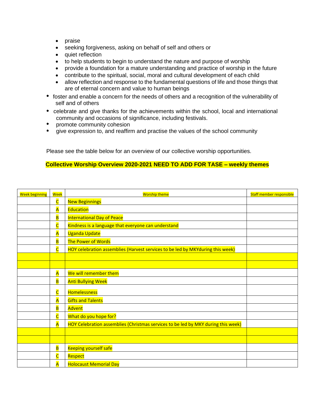- praise
- seeking forgiveness, asking on behalf of self and others or
- quiet reflection
- to help students to begin to understand the nature and purpose of worship
- provide a foundation for a mature understanding and practice of worship in the future
- contribute to the spiritual, social, moral and cultural development of each child
- allow reflection and response to the fundamental questions of life and those things that are of eternal concern and value to human beings
- foster and enable a concern for the needs of others and a recognition of the vulnerability of self and of others
- celebrate and give thanks for the achievements within the school, local and international community and occasions of significance, including festivals.
- $\bullet$  . promote community cohesion
- give expression to, and reaffirm and practise the values of the school community  $\bullet$

Please see the table below for an overview of our collective worship opportunities.

#### **Collective Worship Overview 2020-2021 NEED TO ADD FOR TASE – weekly themes**

| <b>Week beginning</b> | <b>Week</b>             | <b>Worship theme</b>                                                              | Staff member responsible |
|-----------------------|-------------------------|-----------------------------------------------------------------------------------|--------------------------|
|                       | $\overline{\mathsf{C}}$ | <b>New Beginnings</b>                                                             |                          |
|                       | A                       | <b>Education</b>                                                                  |                          |
|                       | $\overline{\mathsf{B}}$ | <b>International Day of Peace</b>                                                 |                          |
|                       | $\overline{\mathsf{C}}$ | Kindness is a language that everyone can understand                               |                          |
|                       | $\overline{\mathsf{A}}$ | <b>Uganda Update</b>                                                              |                          |
|                       | $\overline{B}$          | The Power of Words                                                                |                          |
|                       | $\overline{\mathsf{C}}$ | HOY celebration assemblies (Harvest services to be led by MKYduring this week)    |                          |
|                       |                         |                                                                                   |                          |
|                       |                         |                                                                                   |                          |
|                       | $\overline{\mathsf{A}}$ | We will remember them                                                             |                          |
|                       | $\overline{B}$          | <b>Anti Bullying Week</b>                                                         |                          |
|                       | $\overline{\mathsf{C}}$ | <b>Homelessness</b>                                                               |                          |
|                       | $\overline{\mathsf{A}}$ | <b>Gifts and Talents</b>                                                          |                          |
|                       | $\overline{B}$          | Advent                                                                            |                          |
|                       | $\overline{\mathsf{C}}$ | What do you hope for?                                                             |                          |
|                       | A                       | HOY Celebration assemblies (Christmas services to be led by MKY during this week) |                          |
|                       |                         |                                                                                   |                          |
|                       |                         |                                                                                   |                          |
|                       | $\overline{\mathbf{B}}$ | <b>Keeping yourself safe</b>                                                      |                          |
|                       | $\overline{\mathsf{C}}$ | Respect                                                                           |                          |
|                       | A                       | <b>Holocaust Memorial Day</b>                                                     |                          |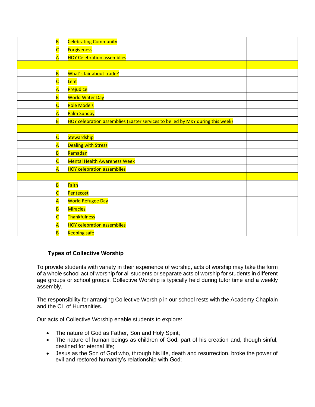| $\overline{\mathbf{B}}$ | <b>Celebrating Community</b>                                                   |  |
|-------------------------|--------------------------------------------------------------------------------|--|
| $\overline{\mathsf{C}}$ | <b>Forgiveness</b>                                                             |  |
| $\overline{\mathsf{A}}$ | <b>HOY Celebration assemblies</b>                                              |  |
|                         |                                                                                |  |
| $\overline{\mathsf{B}}$ | What's fair about trade?                                                       |  |
| $\overline{\mathsf{C}}$ | Lent                                                                           |  |
| $\overline{\mathsf{A}}$ | Prejudice                                                                      |  |
| $\overline{\mathbf{B}}$ | <b>World Water Day</b>                                                         |  |
| $\overline{\mathsf{C}}$ | <b>Role Models</b>                                                             |  |
| $\overline{\mathsf{A}}$ | Palm Sunday                                                                    |  |
| $\overline{\mathsf{B}}$ | HOY celebration assemblies (Easter services to be led by MKY during this week) |  |
|                         |                                                                                |  |
| $\overline{\mathsf{C}}$ | Stewardship                                                                    |  |
| $\overline{\mathsf{A}}$ | <b>Dealing with Stress</b>                                                     |  |
| $\overline{\mathbf{B}}$ | Ramadan                                                                        |  |
| $\overline{\mathsf{C}}$ | <b>Mental Health Awareness Week</b>                                            |  |
| $\overline{\mathsf{A}}$ | <b>HOY celebration assemblies</b>                                              |  |
|                         |                                                                                |  |
| $\overline{\mathbf{B}}$ | Faith                                                                          |  |
| $\overline{\mathsf{C}}$ | Pentecost                                                                      |  |
| $\overline{\mathsf{A}}$ | <b>World Refugee Day</b>                                                       |  |
| $\overline{\mathbf{B}}$ | <b>Miracles</b>                                                                |  |
| $\overline{\mathsf{C}}$ | Thankfulness                                                                   |  |
| $\overline{\mathsf{A}}$ | <b>HOY celebration assemblies</b>                                              |  |
| B                       | <b>Keeping safe</b>                                                            |  |

### **Types of Collective Worship**

To provide students with variety in their experience of worship, acts of worship may take the form of a whole school act of worship for all students or separate acts of worship for students in different age groups or school groups. Collective Worship is typically held during tutor time and a weekly assembly.

The responsibility for arranging Collective Worship in our school rests with the Academy Chaplain and the CL of Humanities.

Our acts of Collective Worship enable students to explore:

- The nature of God as Father, Son and Holy Spirit;
- The nature of human beings as children of God, part of his creation and, though sinful, destined for eternal life;
- Jesus as the Son of God who, through his life, death and resurrection, broke the power of evil and restored humanity's relationship with God;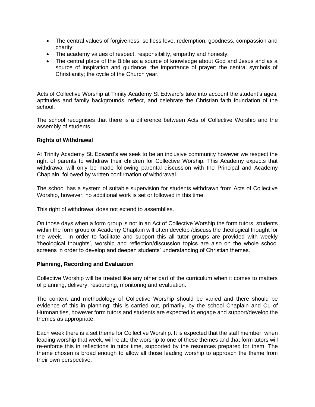- The central values of forgiveness, selfless love, redemption, goodness, compassion and charity;
- The academy values of respect, responsibility, empathy and honesty.
- The central place of the Bible as a source of knowledge about God and Jesus and as a source of inspiration and guidance; the importance of prayer; the central symbols of Christianity; the cycle of the Church year.

Acts of Collective Worship at Trinity Academy St Edward's take into account the student's ages, aptitudes and family backgrounds, reflect, and celebrate the Christian faith foundation of the school.

The school recognises that there is a difference between Acts of Collective Worship and the assembly of students.

#### **Rights of Withdrawal**

At Trinity Academy St. Edward's we seek to be an inclusive community however we respect the right of parents to withdraw their children for Collective Worship. This Academy expects that withdrawal will only be made following parental discussion with the Principal and Academy Chaplain, followed by written confirmation of withdrawal.

The school has a system of suitable supervision for students withdrawn from Acts of Collective Worship, however, no additional work is set or followed in this time.

This right of withdrawal does not extend to assemblies.

On those days when a form group is not in an Act of Collective Worship the form tutors, students within the form group or Academy Chaplain will often develop /discuss the theological thought for the week. In order to facilitate and support this all tutor groups are provided with weekly 'theological thoughts', worship and reflection/discussion topics are also on the whole school screens in order to develop and deepen students' understanding of Christian themes.

#### **Planning, Recording and Evaluation**

Collective Worship will be treated like any other part of the curriculum when it comes to matters of planning, delivery, resourcing, monitoring and evaluation.

The content and methodology of Collective Worship should be varied and there should be evidence of this in planning; this is carried out, primarily, by the school Chaplain and CL of Humnanities, however form tutors and students are expected to engage and support/develop the themes as appropriate.

Each week there is a set theme for Collective Worship. It is expected that the staff member, when leading worship that week, will relate the worship to one of these themes and that form tutors will re-enforce this in reflections in tutor time, supported by the resources prepared for them. The theme chosen is broad enough to allow all those leading worship to approach the theme from their own perspective.